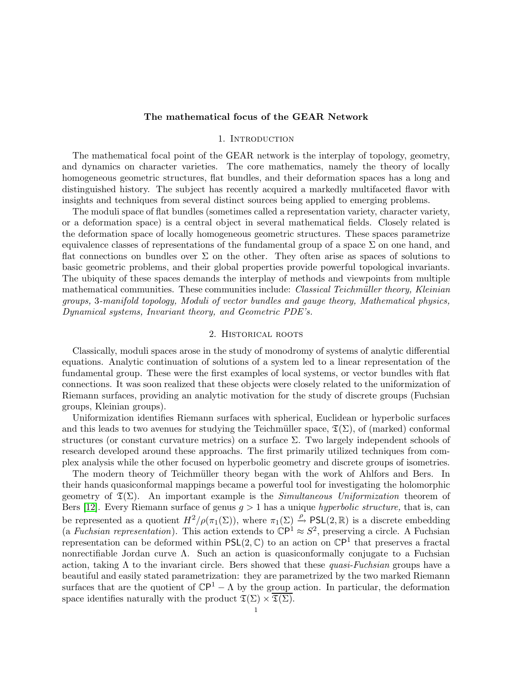### The mathematical focus of the GEAR Network

## 1. INTRODUCTION

The mathematical focal point of the GEAR network is the interplay of topology, geometry, and dynamics on character varieties. The core mathematics, namely the theory of locally homogeneous geometric structures, flat bundles, and their deformation spaces has a long and distinguished history. The subject has recently acquired a markedly multifaceted flavor with insights and techniques from several distinct sources being applied to emerging problems.

The moduli space of flat bundles (sometimes called a representation variety, character variety, or a deformation space) is a central object in several mathematical fields. Closely related is the deformation space of locally homogeneous geometric structures. These spaces parametrize equivalence classes of representations of the fundamental group of a space  $\Sigma$  on one hand, and flat connections on bundles over  $\Sigma$  on the other. They often arise as spaces of solutions to basic geometric problems, and their global properties provide powerful topological invariants. The ubiquity of these spaces demands the interplay of methods and viewpoints from multiple mathematical communities. These communities include: *Classical Teichmüller theory*, *Kleinian* groups, 3-manifold topology, Moduli of vector bundles and gauge theory, Mathematical physics, Dynamical systems, Invariant theory, and Geometric PDE's.

### 2. Historical roots

Classically, moduli spaces arose in the study of monodromy of systems of analytic differential equations. Analytic continuation of solutions of a system led to a linear representation of the fundamental group. These were the first examples of local systems, or vector bundles with flat connections. It was soon realized that these objects were closely related to the uniformization of Riemann surfaces, providing an analytic motivation for the study of discrete groups (Fuchsian groups, Kleinian groups).

Uniformization identifies Riemann surfaces with spherical, Euclidean or hyperbolic surfaces and this leads to two avenues for studying the Teichmüller space,  $\mathfrak{T}(\Sigma)$ , of (marked) conformal structures (or constant curvature metrics) on a surface  $\Sigma$ . Two largely independent schools of research developed around these approachs. The first primarily utilized techniques from complex analysis while the other focused on hyperbolic geometry and discrete groups of isometries.

The modern theory of Teichmüller theory began with the work of Ahlfors and Bers. In their hands quasiconformal mappings became a powerful tool for investigating the holomorphic geometry of  $\mathfrak{T}(\Sigma)$ . An important example is the *Simultaneous Uniformization* theorem of Bers [\[12\]](#page-7-0). Every Riemann surface of genus  $g > 1$  has a unique *hyperbolic structure*, that is, can be represented as a quotient  $H^2/\rho(\pi_1(\Sigma))$ , where  $\pi_1(\Sigma) \stackrel{\rho}{\rightarrow} PSL(2,\mathbb{R})$  is a discrete embedding (a Fuchsian representation). This action extends to  $\mathbb{C}P^1 \approx S^2$ , preserving a circle. A Fuchsian representation can be deformed within  $PSL(2, \mathbb{C})$  to an action on  $\mathbb{C}P<sup>1</sup>$  that preserves a fractal nonrectifiable Jordan curve  $\Lambda$ . Such an action is quasiconformally conjugate to a Fuchsian action, taking  $\Lambda$  to the invariant circle. Bers showed that these quasi-Fuchsian groups have a beautiful and easily stated parametrization: they are parametrized by the two marked Riemann surfaces that are the quotient of  $\mathbb{C}P^1 - \Lambda$  by the group action. In particular, the deformation space identifies naturally with the product  $\mathfrak{T}(\Sigma) \times \overline{\mathfrak{T}(\Sigma)}$ .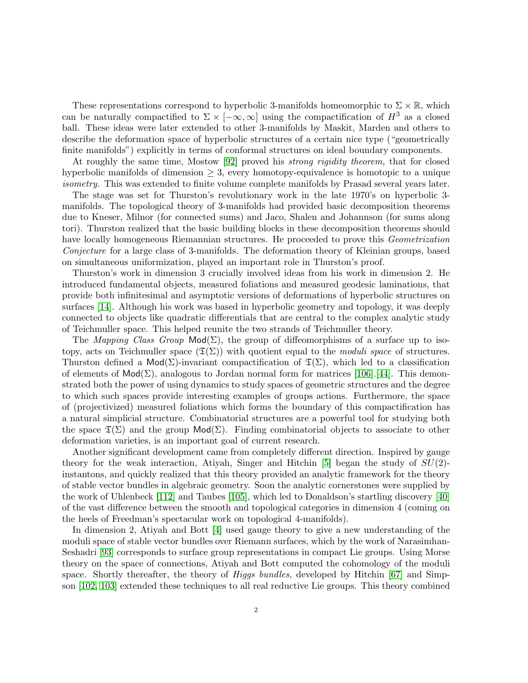These representations correspond to hyperbolic 3-manifolds homeomorphic to  $\Sigma \times \mathbb{R}$ , which can be naturally compactified to  $\Sigma \times [-\infty, \infty]$  using the compactification of  $H^3$  as a closed ball. These ideas were later extended to other 3-manifolds by Maskit, Marden and others to describe the deformation space of hyperbolic structures of a certain nice type ("geometrically finite manifolds") explicitly in terms of conformal structures on ideal boundary components.

At roughly the same time, Mostow [\[92\]](#page-10-0) proved his strong rigidity theorem, that for closed hyperbolic manifolds of dimension  $\geq 3$ , every homotopy-equivalence is homotopic to a unique isometry. This was extended to finite volume complete manifolds by Prasad several years later.

The stage was set for Thurston's revolutionary work in the late 1970's on hyperbolic 3 manifolds. The topological theory of 3-manifolds had provided basic decomposition theorems due to Kneser, Milnor (for connected sums) and Jaco, Shalen and Johannson (for sums along tori). Thurston realized that the basic building blocks in these decomposition theorems should have locally homogeneous Riemannian structures. He proceeded to prove this *Geometrization* Conjecture for a large class of 3-manifolds. The deformation theory of Kleinian groups, based on simultaneous uniformization, played an important role in Thurston's proof.

Thurston's work in dimension 3 crucially involved ideas from his work in dimension 2. He introduced fundamental objects, measured foliations and measured geodesic laminations, that provide both infinitesimal and asymptotic versions of deformations of hyperbolic structures on surfaces [\[14\]](#page-7-1). Although his work was based in hyperbolic geometry and topology, it was deeply connected to objects like quadratic differentials that are central to the complex analytic study of Teichmuller space. This helped reunite the two strands of Teichmuller theory.

The Mapping Class Group  $\text{Mod}(\Sigma)$ , the group of diffeomorphisms of a surface up to isotopy, acts on Teichmuller space  $(\mathfrak{T}(\Sigma))$  with quotient equal to the moduli space of structures. Thurston defined a Mod( $\Sigma$ )-invariant compactification of  $\mathfrak{T}(\Sigma)$ , which led to a classification of elements of  $Mod(\Sigma)$ , analogous to Jordan normal form for matrices [\[106\]](#page-11-0).[\[44\]](#page-8-0). This demonstrated both the power of using dynamics to study spaces of geometric structures and the degree to which such spaces provide interesting examples of groups actions. Furthermore, the space of (projectivized) measured foliations which forms the boundary of this compactification has a natural simplicial structure. Combinatorial structures are a powerful tool for studying both the space  $\mathfrak{T}(\Sigma)$  and the group  $\mathsf{Mod}(\Sigma)$ . Finding combinatorial objects to associate to other deformation varieties, is an important goal of current research.

Another significant development came from completely different direction. Inspired by gauge theory for the weak interaction, Atiyah, Singer and Hitchin [\[5\]](#page-7-2) began the study of  $SU(2)$ instantons, and quickly realized that this theory provided an analytic framework for the theory of stable vector bundles in algebraic geometry. Soon the analytic cornerstones were supplied by the work of Uhlenbeck [\[112\]](#page-11-1) and Taubes [\[105\]](#page-11-2), which led to Donaldson's startling discovery [\[40\]](#page-8-1) of the vast difference between the smooth and topological categories in dimension 4 (coming on the heels of Freedman's spectacular work on topological 4-manifolds).

In dimension 2, Atiyah and Bott [\[4\]](#page-7-3) used gauge theory to give a new understanding of the moduli space of stable vector bundles over Riemann surfaces, which by the work of Narasimhan-Seshadri [\[93\]](#page-10-1) corresponds to surface group representations in compact Lie groups. Using Morse theory on the space of connections, Atiyah and Bott computed the cohomology of the moduli space. Shortly thereafter, the theory of *Higgs bundles*, developed by Hitchin [\[67\]](#page-9-0) and Simpson [\[102,](#page-11-3) [103\]](#page-11-4) extended these techniques to all real reductive Lie groups. This theory combined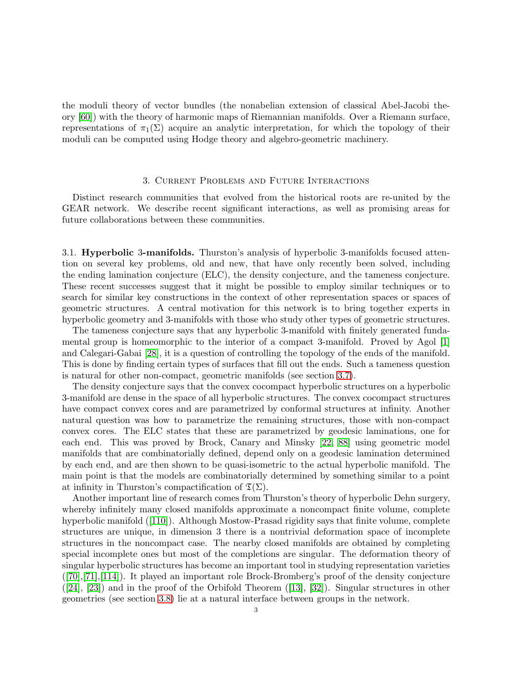the moduli theory of vector bundles (the nonabelian extension of classical Abel-Jacobi theory [\[60\]](#page-9-1)) with the theory of harmonic maps of Riemannian manifolds. Over a Riemann surface, representations of  $\pi_1(\Sigma)$  acquire an analytic interpretation, for which the topology of their moduli can be computed using Hodge theory and algebro-geometric machinery.

# 3. Current Problems and Future Interactions

Distinct research communities that evolved from the historical roots are re-united by the GEAR network. We describe recent significant interactions, as well as promising areas for future collaborations between these communities.

<span id="page-2-0"></span>3.1. Hyperbolic 3-manifolds. Thurston's analysis of hyperbolic 3-manifolds focused attention on several key problems, old and new, that have only recently been solved, including the ending lamination conjecture (ELC), the density conjecture, and the tameness conjecture. These recent successes suggest that it might be possible to employ similar techniques or to search for similar key constructions in the context of other representation spaces or spaces of geometric structures. A central motivation for this network is to bring together experts in hyperbolic geometry and 3-manifolds with those who study other types of geometric structures.

The tameness conjecture says that any hyperbolic 3-manifold with finitely generated fundamental group is homeomorphic to the interior of a compact 3-manifold. Proved by Agol [\[1\]](#page-7-4) and Calegari-Gabai [\[28\]](#page-8-2), it is a question of controlling the topology of the ends of the manifold. This is done by finding certain types of surfaces that fill out the ends. Such a tameness question is natural for other non-compact, geometric manifolds (see section [3.7\)](#page-4-0).

The density conjecture says that the convex cocompact hyperbolic structures on a hyperbolic 3-manifold are dense in the space of all hyperbolic structures. The convex cocompact structures have compact convex cores and are parametrized by conformal structures at infinity. Another natural question was how to parametrize the remaining structures, those with non-compact convex cores. The ELC states that these are parametrized by geodesic laminations, one for each end. This was proved by Brock, Canary and Minsky [\[22,](#page-8-3) [88\]](#page-10-2) using geometric model manifolds that are combinatorially defined, depend only on a geodesic lamination determined by each end, and are then shown to be quasi-isometric to the actual hyperbolic manifold. The main point is that the models are combinatorially determined by something similar to a point at infinity in Thurston's compactification of  $\mathfrak{T}(\Sigma)$ .

Another important line of research comes from Thurston's theory of hyperbolic Dehn surgery, whereby infinitely many closed manifolds approximate a noncompact finite volume, complete hyperbolic manifold ([\[110\]](#page-11-5)). Although Mostow-Prasad rigidity says that finite volume, complete structures are unique, in dimension 3 there is a nontrivial deformation space of incomplete structures in the noncompact case. The nearby closed manifolds are obtained by completing special incomplete ones but most of the completions are singular. The deformation theory of singular hyperbolic structures has become an important tool in studying representation varieties ([\[70\]](#page-9-2),[\[71\]](#page-9-3),[\[114\]](#page-11-6)). It played an important role Brock-Bromberg's proof of the density conjecture  $([24], [23])$  $([24], [23])$  $([24], [23])$  $([24], [23])$  $([24], [23])$  and in the proof of the Orbifold Theorem  $([13], [32])$  $([13], [32])$  $([13], [32])$  $([13], [32])$  $([13], [32])$ . Singular structures in other geometries (see section [3.8\)](#page-5-0) lie at a natural interface between groups in the network.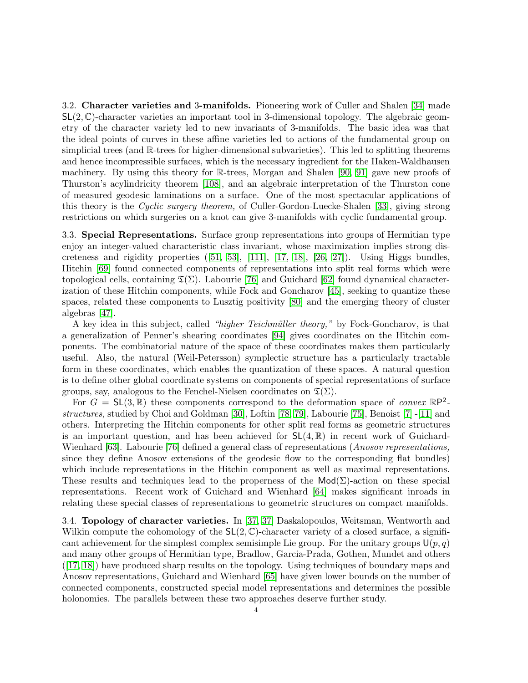3.2. Character varieties and 3-manifolds. Pioneering work of Culler and Shalen [\[34\]](#page-8-7) made  $SL(2, \mathbb{C})$ -character varieties an important tool in 3-dimensional topology. The algebraic geometry of the character variety led to new invariants of 3-manifolds. The basic idea was that the ideal points of curves in these affine varieties led to actions of the fundamental group on simplicial trees (and R-trees for higher-dimensional subvarieties). This led to splitting theorems and hence incompressible surfaces, which is the necessary ingredient for the Haken-Waldhausen machinery. By using this theory for R-trees, Morgan and Shalen [\[90,](#page-10-3) [91\]](#page-10-4) gave new proofs of Thurston's acylindricity theorem [\[108\]](#page-11-7), and an algebraic interpretation of the Thurston cone of measured geodesic laminations on a surface. One of the most spectacular applications of this theory is the Cyclic surgery theorem, of Culler-Gordon-Luecke-Shalen [\[33\]](#page-8-8), giving strong restrictions on which surgeries on a knot can give 3-manifolds with cyclic fundamental group.

3.3. Special Representations. Surface group representations into groups of Hermitian type enjoy an integer-valued characteristic class invariant, whose maximization implies strong discreteness and rigidity properties  $([51, 53], [111], [17, 18], [26, 27])$  $([51, 53], [111], [17, 18], [26, 27])$  $([51, 53], [111], [17, 18], [26, 27])$  $([51, 53], [111], [17, 18], [26, 27])$  $([51, 53], [111], [17, 18], [26, 27])$  $([51, 53], [111], [17, 18], [26, 27])$  $([51, 53], [111], [17, 18], [26, 27])$  $([51, 53], [111], [17, 18], [26, 27])$  $([51, 53], [111], [17, 18], [26, 27])$  $([51, 53], [111], [17, 18], [26, 27])$  $([51, 53], [111], [17, 18], [26, 27])$  $([51, 53], [111], [17, 18], [26, 27])$ . Using Higgs bundles, Hitchin [\[69\]](#page-9-6) found connected components of representations into split real forms which were topological cells, containing  $\mathfrak{T}(\Sigma)$ . Labourie [\[76\]](#page-10-5) and Guichard [\[62\]](#page-9-7) found dynamical characterization of these Hitchin components, while Fock and Goncharov [\[45\]](#page-8-11), seeking to quantize these spaces, related these components to Lusztig positivity [\[80\]](#page-10-6) and the emerging theory of cluster algebras [\[47\]](#page-8-12).

A key idea in this subject, called "higher Teichmüller theory," by Fock-Goncharov, is that a generalization of Penner's shearing coordinates [\[94\]](#page-10-7) gives coordinates on the Hitchin components. The combinatorial nature of the space of these coordinates makes them particularly useful. Also, the natural (Weil-Petersson) symplectic structure has a particularly tractable form in these coordinates, which enables the quantization of these spaces. A natural question is to define other global coordinate systems on components of special representations of surface groups, say, analogous to the Fenchel-Nielsen coordinates on  $\mathfrak{T}(\Sigma)$ .

For  $G = SL(3,\mathbb{R})$  these components correspond to the deformation space of *convex*  $\mathbb{R}P^2$ structures, studied by Choi and Goldman [\[30\]](#page-8-13), Loftin [\[78,](#page-10-8) [79\]](#page-10-9), Labourie [\[75\]](#page-10-10), Benoist [\[7\]](#page-7-8) -[\[11\]](#page-7-9) and others. Interpreting the Hitchin components for other split real forms as geometric structures is an important question, and has been achieved for  $SL(4,\mathbb{R})$  in recent work of Guichard-Wienhard [\[63\]](#page-9-8). Labourie [\[76\]](#page-10-5) defined a general class of representations (*Anosov representations*, since they define Anosov extensions of the geodesic flow to the corresponding flat bundles) which include representations in the Hitchin component as well as maximal representations. These results and techniques lead to the properness of the  $\text{Mod}(\Sigma)$ -action on these special representations. Recent work of Guichard and Wienhard [\[64\]](#page-9-9) makes significant inroads in relating these special classes of representations to geometric structures on compact manifolds.

3.4. Topology of character varieties. In [\[37, 37\]](#page-8-14) Daskalopoulos, Weitsman, Wentworth and Wilkin compute the cohomology of the  $SL(2,\mathbb{C})$ -character variety of a closed surface, a significant achievement for the simplest complex semisimple Lie group. For the unitary groups  $\mathsf{U}(p,q)$ and many other groups of Hermitian type, Bradlow, Garcia-Prada, Gothen, Mundet and others ([\[17,](#page-7-6) [18\]](#page-7-7)) have produced sharp results on the topology. Using techniques of boundary maps and Anosov representations, Guichard and Wienhard [\[65\]](#page-9-10) have given lower bounds on the number of connected components, constructed special model representations and determines the possible holonomies. The parallels between these two approaches deserve further study.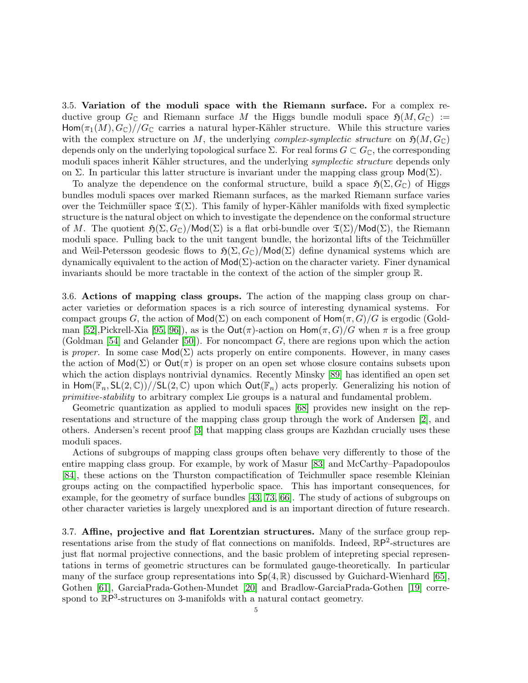3.5. Variation of the moduli space with the Riemann surface. For a complex reductive group  $G_{\mathbb{C}}$  and Riemann surface M the Higgs bundle moduli space  $\mathfrak{H}(M, G_{\mathbb{C}}) :=$ Hom $(\pi_1(M), G_{\mathbb{C}})//G_{\mathbb{C}}$  carries a natural hyper-Kähler structure. While this structure varies with the complex structure on M, the underlying *complex-symplectic structure* on  $\mathfrak{H}(M, G_{\mathbb{C}})$ depends only on the underlying topological surface  $\Sigma$ . For real forms  $G \subset G_{\mathbb{C}}$ , the corresponding moduli spaces inherit Kähler structures, and the underlying *symplectic structure* depends only on Σ. In particular this latter structure is invariant under the mapping class group  $\mathsf{Mod}(\Sigma)$ .

To analyze the dependence on the conformal structure, build a space  $\mathfrak{H}(\Sigma, G_{\mathbb{C}})$  of Higgs bundles moduli spaces over marked Riemann surfaces, as the marked Riemann surface varies over the Teichmüller space  $\mathfrak{T}(\Sigma)$ . This family of hyper-Kähler manifolds with fixed symplectic structure is the natural object on which to investigate the dependence on the conformal structure of M. The quotient  $\mathfrak{H}(\Sigma, G_{\mathbb{C}})/\text{Mod}(\Sigma)$  is a flat orbi-bundle over  $\mathfrak{T}(\Sigma)/\text{Mod}(\Sigma)$ , the Riemann moduli space. Pulling back to the unit tangent bundle, the horizontal lifts of the Teichmüller and Weil-Petersson geodesic flows to  $\mathfrak{H}(\Sigma, G_{\mathbb{C}})/\mathsf{Mod}(\Sigma)$  define dynamical systems which are dynamically equivalent to the action of  $\textsf{Mod}(\Sigma)$ -action on the character variety. Finer dynamical invariants should be more tractable in the context of the action of the simpler group R.

3.6. Actions of mapping class groups. The action of the mapping class group on character varieties or deformation spaces is a rich source of interesting dynamical systems. For compact groups G, the action of  $Mod(\Sigma)$  on each component of  $Hom(\pi, G)/G$  is ergodic (Gold-man [\[52\]](#page-9-11),Pickrell-Xia [\[95,](#page-10-11) [96\]](#page-10-12)), as is the Out(π)-action on  $\text{Hom}(\pi, G)/G$  when  $\pi$  is a free group (Goldman [\[54\]](#page-9-12) and Gelander [\[50\]](#page-9-13)). For noncompact  $G$ , there are regions upon which the action is proper. In some case  $\text{Mod}(\Sigma)$  acts properly on entire components. However, in many cases the action of  $\text{Mod}(\Sigma)$  or  $\text{Out}(\pi)$  is proper on an open set whose closure contains subsets upon which the action displays nontrivial dynamics. Recently Minsky [\[89\]](#page-10-13) has identified an open set in Hom( $\mathbb{F}_n$ ,  $SL(2,\mathbb{C})$ )// $SL(2,\mathbb{C})$  upon which  $Out(\mathbb{F}_n)$  acts properly. Generalizing his notion of primitive-stability to arbitrary complex Lie groups is a natural and fundamental problem.

Geometric quantization as applied to moduli spaces [\[68\]](#page-9-14) provides new insight on the representations and structure of the mapping class group through the work of Andersen [\[2\]](#page-7-10), and others. Andersen's recent proof [\[3\]](#page-7-11) that mapping class groups are Kazhdan crucially uses these moduli spaces.

Actions of subgroups of mapping class groups often behave very differently to those of the entire mapping class group. For example, by work of Masur [\[83\]](#page-10-14) and McCarthy–Papadopoulos [\[84\]](#page-10-15), these actions on the Thurston compactification of Teichmuller space resemble Kleinian groups acting on the compactified hyperbolic space. This has important consequences, for example, for the geometry of surface bundles [\[43,](#page-8-15) [73,](#page-9-15) [66\]](#page-9-16). The study of actions of subgroups on other character varieties is largely unexplored and is an important direction of future research.

<span id="page-4-0"></span>3.7. Affine, projective and flat Lorentzian structures. Many of the surface group representations arise from the study of flat connections on manifolds. Indeed,  $\mathbb{R}P^2$ -structures are just flat normal projective connections, and the basic problem of intepreting special representations in terms of geometric structures can be formulated gauge-theoretically. In particular many of the surface group representations into  $Sp(4, \mathbb{R})$  discussed by Guichard-Wienhard [\[65\]](#page-9-10), Gothen [\[61\]](#page-9-17), GarciaPrada-Gothen-Mundet [\[20\]](#page-8-16) and Bradlow-GarciaPrada-Gothen [\[19\]](#page-7-12) correspond to  $\mathbb{R}P^3$ -structures on 3-manifolds with a natural contact geometry.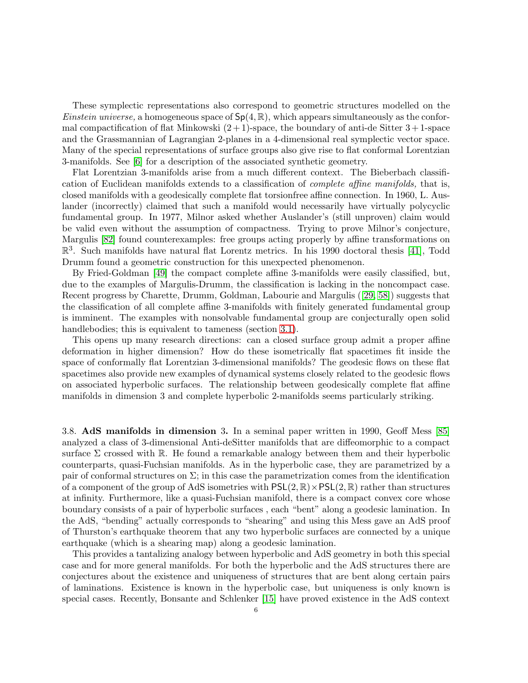These symplectic representations also correspond to geometric structures modelled on the *Einstein universe*, a homogeneous space of  $Sp(4, \mathbb{R})$ , which appears simultaneously as the conformal compactification of flat Minkowski  $(2+1)$ -space, the boundary of anti-de Sitter  $3+1$ -space and the Grassmannian of Lagrangian 2-planes in a 4-dimensional real symplectic vector space. Many of the special representations of surface groups also give rise to flat conformal Lorentzian 3-manifolds. See [\[6\]](#page-7-13) for a description of the associated synthetic geometry.

Flat Lorentzian 3-manifolds arise from a much different context. The Bieberbach classification of Euclidean manifolds extends to a classification of complete affine manifolds, that is, closed manifolds with a geodesically complete flat torsionfree affine connection. In 1960, L. Auslander (incorrectly) claimed that such a manifold would necessarily have virtually polycyclic fundamental group. In 1977, Milnor asked whether Auslander's (still unproven) claim would be valid even without the assumption of compactness. Trying to prove Milnor's conjecture, Margulis [\[82\]](#page-10-16) found counterexamples: free groups acting properly by affine transformations on  $\mathbb{R}^3$ . Such manifolds have natural flat Lorentz metrics. In his 1990 doctoral thesis [\[41\]](#page-8-17), Todd Drumm found a geometric construction for this unexpected phenomenon.

By Fried-Goldman [\[49\]](#page-9-18) the compact complete affine 3-manifolds were easily classified, but, due to the examples of Margulis-Drumm, the classification is lacking in the noncompact case. Recent progress by Charette, Drumm, Goldman, Labourie and Margulis ([\[29,](#page-8-18) [58\]](#page-9-19)) suggests that the classification of all complete affine 3-manifolds with finitely generated fundamental group is imminent. The examples with nonsolvable fundamental group are conjecturally open solid handlebodies; this is equivalent to tameness (section [3.1\)](#page-2-0).

This opens up many research directions: can a closed surface group admit a proper affine deformation in higher dimension? How do these isometrically flat spacetimes fit inside the space of conformally flat Lorentzian 3-dimensional manifolds? The geodesic flows on these flat spacetimes also provide new examples of dynamical systems closely related to the geodesic flows on associated hyperbolic surfaces. The relationship between geodesically complete flat affine manifolds in dimension 3 and complete hyperbolic 2-manifolds seems particularly striking.

<span id="page-5-0"></span>3.8. AdS manifolds in dimension 3. In a seminal paper written in 1990, Geoff Mess [\[85\]](#page-10-17) analyzed a class of 3-dimensional Anti-deSitter manifolds that are diffeomorphic to a compact surface  $\Sigma$  crossed with R. He found a remarkable analogy between them and their hyperbolic counterparts, quasi-Fuchsian manifolds. As in the hyperbolic case, they are parametrized by a pair of conformal structures on  $\Sigma$ ; in this case the parametrization comes from the identification of a component of the group of AdS isometries with  $PSL(2, \mathbb{R}) \times PSL(2, \mathbb{R})$  rather than structures at infinity. Furthermore, like a quasi-Fuchsian manifold, there is a compact convex core whose boundary consists of a pair of hyperbolic surfaces , each "bent" along a geodesic lamination. In the AdS, "bending" actually corresponds to "shearing" and using this Mess gave an AdS proof of Thurston's earthquake theorem that any two hyperbolic surfaces are connected by a unique earthquake (which is a shearing map) along a geodesic lamination.

This provides a tantalizing analogy between hyperbolic and AdS geometry in both this special case and for more general manifolds. For both the hyperbolic and the AdS structures there are conjectures about the existence and uniqueness of structures that are bent along certain pairs of laminations. Existence is known in the hyperbolic case, but uniqueness is only known is special cases. Recently, Bonsante and Schlenker [\[15\]](#page-7-14) have proved existence in the AdS context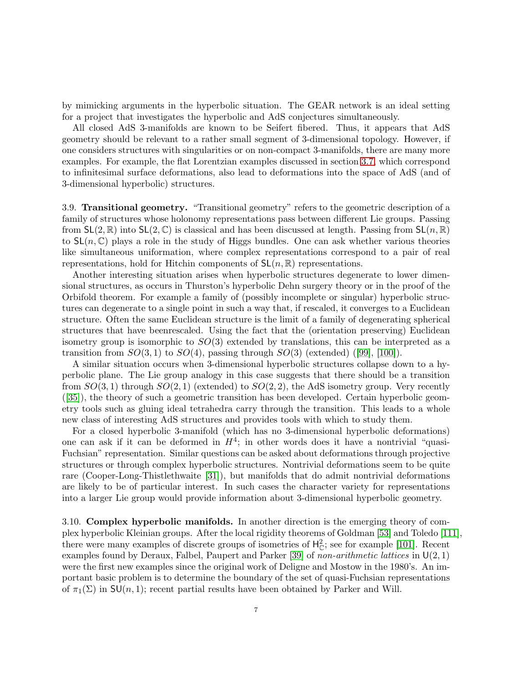by mimicking arguments in the hyperbolic situation. The GEAR network is an ideal setting for a project that investigates the hyperbolic and AdS conjectures simultaneously.

All closed AdS 3-manifolds are known to be Seifert fibered. Thus, it appears that AdS geometry should be relevant to a rather small segment of 3-dimensional topology. However, if one considers structures with singularities or on non-compact 3-manifolds, there are many more examples. For example, the flat Lorentzian examples discussed in section [3.7,](#page-4-0) which correspond to infinitesimal surface deformations, also lead to deformations into the space of AdS (and of 3-dimensional hyperbolic) structures.

3.9. Transitional geometry. "Transitional geometry" refers to the geometric description of a family of structures whose holonomy representations pass between different Lie groups. Passing from  $SL(2,\mathbb{R})$  into  $SL(2,\mathbb{C})$  is classical and has been discussed at length. Passing from  $SL(n,\mathbb{R})$ to  $SL(n, \mathbb{C})$  plays a role in the study of Higgs bundles. One can ask whether various theories like simultaneous uniformation, where complex representations correspond to a pair of real representations, hold for Hitchin components of  $SL(n, \mathbb{R})$  representations.

Another interesting situation arises when hyperbolic structures degenerate to lower dimensional structures, as occurs in Thurston's hyperbolic Dehn surgery theory or in the proof of the Orbifold theorem. For example a family of (possibly incomplete or singular) hyperbolic structures can degenerate to a single point in such a way that, if rescaled, it converges to a Euclidean structure. Often the same Euclidean structure is the limit of a family of degenerating spherical structures that have beenrescaled. Using the fact that the (orientation preserving) Euclidean isometry group is isomorphic to  $SO(3)$  extended by translations, this can be interpreted as a transition from  $SO(3,1)$  to  $SO(4)$ , passing through  $SO(3)$  (extended) ([\[99\]](#page-10-18), [\[100\]](#page-10-19)).

A similar situation occurs when 3-dimensional hyperbolic structures collapse down to a hyperbolic plane. The Lie group analogy in this case suggests that there should be a transition from  $SO(3,1)$  through  $SO(2,1)$  (extended) to  $SO(2,2)$ , the AdS isometry group. Very recently ([\[35\]](#page-8-19)), the theory of such a geometric transition has been developed. Certain hyperbolic geometry tools such as gluing ideal tetrahedra carry through the transition. This leads to a whole new class of interesting AdS structures and provides tools with which to study them.

For a closed hyperbolic 3-manifold (which has no 3-dimensional hyperbolic deformations) one can ask if it can be deformed in  $H^4$ ; in other words does it have a nontrivial "quasi-Fuchsian" representation. Similar questions can be asked about deformations through projective structures or through complex hyperbolic structures. Nontrivial deformations seem to be quite rare (Cooper-Long-Thistlethwaite [\[31\]](#page-8-20)), but manifolds that do admit nontrivial deformations are likely to be of particular interest. In such cases the character variety for representations into a larger Lie group would provide information about 3-dimensional hyperbolic geometry.

3.10. Complex hyperbolic manifolds. In another direction is the emerging theory of complex hyperbolic Kleinian groups. After the local rigidity theorems of Goldman [\[53\]](#page-9-5) and Toledo [\[111\]](#page-11-8), there were many examples of discrete groups of isometries of  $H_C^2$ ; see for example [\[101\]](#page-11-9). Recent examples found by Deraux, Falbel, Paupert and Parker [\[39\]](#page-8-21) of non-arithmetic lattices in  $U(2, 1)$ were the first new examples since the original work of Deligne and Mostow in the 1980's. An important basic problem is to determine the boundary of the set of quasi-Fuchsian representations of  $\pi_1(\Sigma)$  in  $SU(n, 1)$ ; recent partial results have been obtained by Parker and Will.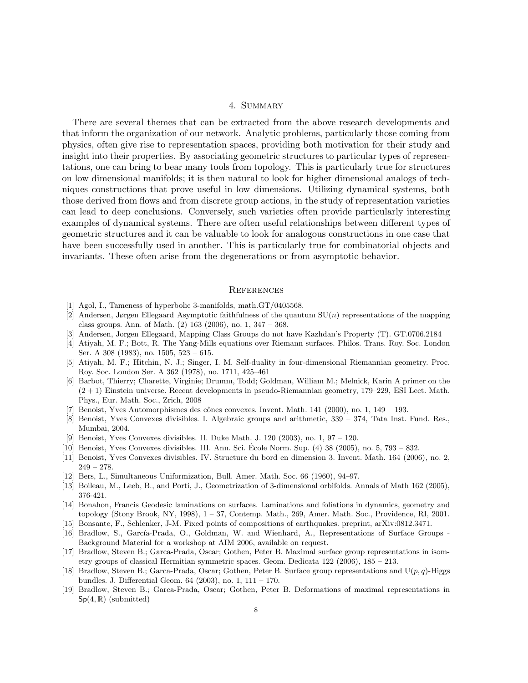# 4. Summary

There are several themes that can be extracted from the above research developments and that inform the organization of our network. Analytic problems, particularly those coming from physics, often give rise to representation spaces, providing both motivation for their study and insight into their properties. By associating geometric structures to particular types of representations, one can bring to bear many tools from topology. This is particularly true for structures on low dimensional manifolds; it is then natural to look for higher dimensional analogs of techniques constructions that prove useful in low dimensions. Utilizing dynamical systems, both those derived from flows and from discrete group actions, in the study of representation varieties can lead to deep conclusions. Conversely, such varieties often provide particularly interesting examples of dynamical systems. There are often useful relationships between different types of geometric structures and it can be valuable to look for analogous constructions in one case that have been successfully used in another. This is particularly true for combinatorial objects and invariants. These often arise from the degenerations or from asymptotic behavior.

### **REFERENCES**

- <span id="page-7-10"></span><span id="page-7-4"></span>[1] Agol, I., Tameness of hyperbolic 3-manifolds, math.GT/0405568.
- [2] Andersen, Jørgen Ellegaard Asymptotic faithfulness of the quantum  $SU(n)$  representations of the mapping class groups. Ann. of Math. (2) 163 (2006), no. 1, 347 – 368.
- <span id="page-7-11"></span><span id="page-7-3"></span>[3] Andersen, Jorgen Ellegaard, Mapping Class Groups do not have Kazhdan's Property (T). GT.0706.2184
- [4] Atiyah, M. F.; Bott, R. The Yang-Mills equations over Riemann surfaces. Philos. Trans. Roy. Soc. London Ser. A 308 (1983), no. 1505, 523 – 615.
- <span id="page-7-2"></span>[5] Atiyah, M. F.; Hitchin, N. J.; Singer, I. M. Self-duality in four-dimensional Riemannian geometry. Proc. Roy. Soc. London Ser. A 362 (1978), no. 1711, 425–461
- <span id="page-7-13"></span>[6] Barbot, Thierry; Charette, Virginie; Drumm, Todd; Goldman, William M.; Melnick, Karin A primer on the  $(2 + 1)$  Einstein universe. Recent developments in pseudo-Riemannian geometry, 179–229, ESI Lect. Math. Phys., Eur. Math. Soc., Zrich, 2008
- <span id="page-7-8"></span> $[7]$  Benoist, Yves Automorphismes des cônes convexes. Invent. Math. 141 (2000), no. 1, 149 – 193.
- [8] Benoist, Yves Convexes divisibles. I. Algebraic groups and arithmetic, 339 374, Tata Inst. Fund. Res., Mumbai, 2004.
- [9] Benoist, Yves Convexes divisibles. II. Duke Math. J. 120 (2003), no. 1, 97 120.
- <span id="page-7-9"></span>[10] Benoist, Yves Convexes divisibles. III. Ann. Sci. Ecole Norm. Sup. (4) 38 (2005), no. 5, 793 – 832. ´
- <span id="page-7-0"></span>[11] Benoist, Yves Convexes divisibles. IV. Structure du bord en dimension 3. Invent. Math. 164 (2006), no. 2,  $249 - 278.$
- <span id="page-7-5"></span>[12] Bers, L., Simultaneous Uniformization, Bull. Amer. Math. Soc. 66 (1960), 94–97.
- <span id="page-7-1"></span>[13] Boileau, M., Leeb, B., and Porti, J., Geometrization of 3-dimensional orbifolds. Annals of Math 162 (2005), 376-421.
- [14] Bonahon, Francis Geodesic laminations on surfaces. Laminations and foliations in dynamics, geometry and topology (Stony Brook, NY, 1998), 1 – 37, Contemp. Math., 269, Amer. Math. Soc., Providence, RI, 2001.
- <span id="page-7-14"></span>[15] Bonsante, F., Schlenker, J-M. Fixed points of compositions of earthquakes. preprint, arXiv:0812.3471.
- [16] Bradlow, S., García-Prada, O., Goldman, W. and Wienhard, A., Representations of Surface Groups -Background Material for a workshop at AIM 2006, available on request.
- <span id="page-7-6"></span>[17] Bradlow, Steven B.; Garca-Prada, Oscar; Gothen, Peter B. Maximal surface group representations in isometry groups of classical Hermitian symmetric spaces. Geom. Dedicata 122 (2006), 185 – 213.
- <span id="page-7-7"></span>[18] Bradlow, Steven B.; Garca-Prada, Oscar; Gothen, Peter B. Surface group representations and  $U(p, q)$ -Higgs bundles. J. Differential Geom. 64 (2003), no. 1, 111 – 170.
- <span id="page-7-12"></span>[19] Bradlow, Steven B.; Garca-Prada, Oscar; Gothen, Peter B. Deformations of maximal representations in  $Sp(4,\mathbb{R})$  (submitted)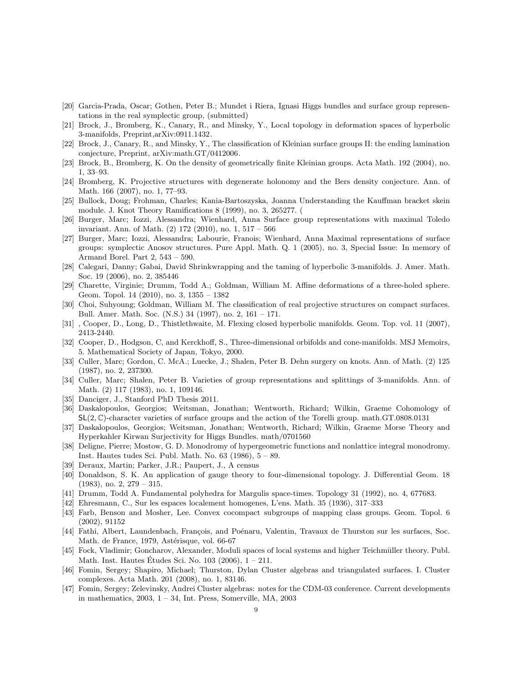- <span id="page-8-16"></span>[20] Garcia-Prada, Oscar; Gothen, Peter B.; Mundet i Riera, Ignasi Higgs bundles and surface group representations in the real symplectic group, (submitted)
- <span id="page-8-3"></span>[21] Brock, J., Bromberg, K., Canary, R., and Minsky, Y., Local topology in deformation spaces of hyperbolic 3-manifolds, Preprint,arXiv:0911.1432.
- <span id="page-8-5"></span>[22] Brock, J., Canary, R., and Minsky, Y., The classification of Kleinian surface groups II: the ending lamination conjecture, Preprint, arXiv:math.GT/0412006.
- <span id="page-8-4"></span>[23] Brock, B., Bromberg, K. On the density of geometrically finite Kleinian groups. Acta Math. 192 (2004), no. 1, 33–93.
- [24] Bromberg, K. Projective structures with degenerate holonomy and the Bers density conjecture. Ann. of Math. 166 (2007), no. 1, 77–93.
- [25] Bullock, Doug; Frohman, Charles; Kania-Bartoszyska, Joanna Understanding the Kauffman bracket skein module. J. Knot Theory Ramifications 8 (1999), no. 3, 265277. (
- <span id="page-8-10"></span><span id="page-8-9"></span>[26] Burger, Marc; Iozzi, Alessandra; Wienhard, Anna Surface group representations with maximal Toledo invariant. Ann. of Math. (2) 172 (2010), no. 1, 517 – 566
- [27] Burger, Marc; Iozzi, Alessandra; Labourie, Franois; Wienhard, Anna Maximal representations of surface groups: symplectic Anosov structures. Pure Appl. Math. Q. 1 (2005), no. 3, Special Issue: In memory of Armand Borel. Part 2, 543 – 590.
- <span id="page-8-2"></span>[28] Calegari, Danny; Gabai, David Shrinkwrapping and the taming of hyperbolic 3-manifolds. J. Amer. Math. Soc. 19 (2006), no. 2, 385446
- <span id="page-8-18"></span>[29] Charette, Virginie; Drumm, Todd A.; Goldman, William M. Affine deformations of a three-holed sphere. Geom. Topol. 14 (2010), no. 3, 1355 – 1382
- <span id="page-8-13"></span>[30] Choi, Suhyoung; Goldman, William M. The classification of real projective structures on compact surfaces. Bull. Amer. Math. Soc. (N.S.) 34 (1997), no. 2, 161 – 171.
- <span id="page-8-20"></span><span id="page-8-6"></span>[31] , Cooper, D., Long, D., Thistlethwaite, M. Flexing closed hyperbolic manifolds. Geom. Top. vol. 11 (2007), 2413-2440.
- [32] Cooper, D., Hodgson, C, and Kerckhoff, S., Three-dimensional orbifolds and cone-manifolds. MSJ Memoirs, 5. Mathematical Society of Japan, Tokyo, 2000.
- <span id="page-8-8"></span>[33] Culler, Marc; Gordon, C. McA.; Luecke, J.; Shalen, Peter B. Dehn surgery on knots. Ann. of Math. (2) 125 (1987), no. 2, 237300.
- <span id="page-8-7"></span>[34] Culler, Marc; Shalen, Peter B. Varieties of group representations and splittings of 3-manifolds. Ann. of Math. (2) 117 (1983), no. 1, 109146.
- <span id="page-8-19"></span>[35] Danciger, J., Stanford PhD Thesis 2011.
- [36] Daskalopoulos, Georgios; Weitsman, Jonathan; Wentworth, Richard; Wilkin, Graeme Cohomology of  $SL(2, \mathbb{C})$ -character varieties of surface groups and the action of the Torelli group. math.GT.0808.0131
- <span id="page-8-14"></span>[37] Daskalopoulos, Georgios; Weitsman, Jonathan; Wentworth, Richard; Wilkin, Graeme Morse Theory and Hyperkahler Kirwan Surjectivity for Higgs Bundles. math/0701560
- [38] Deligne, Pierre; Mostow, G. D. Monodromy of hypergeometric functions and nonlattice integral monodromy. Inst. Hautes tudes Sci. Publ. Math. No. 63 (1986), 5 – 89.
- <span id="page-8-21"></span><span id="page-8-1"></span>[39] Deraux, Martin; Parker, J.R.; Paupert, J., A census
- [40] Donaldson, S. K. An application of gauge theory to four-dimensional topology. J. Differential Geom. 18  $(1983)$ , no. 2,  $279 - 315$ .
- <span id="page-8-17"></span>[41] Drumm, Todd A. Fundamental polyhedra for Margulis space-times. Topology 31 (1992), no. 4, 677683.
- <span id="page-8-15"></span>[42] Ehresmann, C., Sur les espaces localement homogenes, L'ens. Math. 35 (1936), 317–333
- [43] Farb, Benson and Mosher, Lee. Convex cocompact subgroups of mapping class groups. Geom. Topol. 6 (2002), 91152
- <span id="page-8-0"></span>[44] Fathi, Albert, Laundenbach, François, and Poénaru, Valentin, Travaux de Thurston sur les surfaces, Soc. Math. de France, 1979, Astérisque, vol. 66-67
- <span id="page-8-11"></span>[45] Fock, Vladimir; Goncharov, Alexander, Moduli spaces of local systems and higher Teichmüller theory. Publ. Math. Inst. Hautes Études Sci. No. 103 (2006),  $1 - 211$ .
- [46] Fomin, Sergey; Shapiro, Michael; Thurston, Dylan Cluster algebras and triangulated surfaces. I. Cluster complexes. Acta Math. 201 (2008), no. 1, 83146.
- <span id="page-8-12"></span>[47] Fomin, Sergey; Zelevinsky, Andrei Cluster algebras: notes for the CDM-03 conference. Current developments in mathematics, 2003, 1 – 34, Int. Press, Somerville, MA, 2003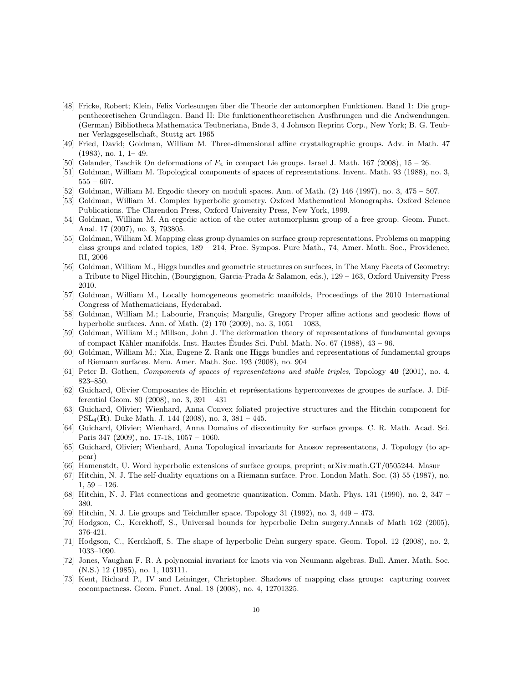- [48] Fricke, Robert; Klein, Felix Vorlesungen über die Theorie der automorphen Funktionen. Band 1: Die gruppentheoretischen Grundlagen. Band II: Die funktionentheoretischen Ausfhrungen und die Andwendungen. (German) Bibliotheca Mathematica Teubneriana, Bnde 3, 4 Johnson Reprint Corp., New York; B. G. Teubner Verlagsgesellschaft, Stuttg art 1965
- <span id="page-9-18"></span>[49] Fried, David; Goldman, William M. Three-dimensional affine crystallographic groups. Adv. in Math. 47 (1983), no. 1, 1– 49.
- <span id="page-9-13"></span><span id="page-9-4"></span>[50] Gelander, Tsachik On deformations of  $F_n$  in compact Lie groups. Israel J. Math. 167 (2008), 15 – 26.
- <span id="page-9-11"></span>[51] Goldman, William M. Topological components of spaces of representations. Invent. Math. 93 (1988), no. 3,  $555 - 607$ .
- <span id="page-9-5"></span>[52] Goldman, William M. Ergodic theory on moduli spaces. Ann. of Math. (2) 146 (1997), no. 3, 475 – 507.
- [53] Goldman, William M. Complex hyperbolic geometry. Oxford Mathematical Monographs. Oxford Science Publications. The Clarendon Press, Oxford University Press, New York, 1999.
- <span id="page-9-12"></span>[54] Goldman, William M. An ergodic action of the outer automorphism group of a free group. Geom. Funct. Anal. 17 (2007), no. 3, 793805.
- [55] Goldman, William M. Mapping class group dynamics on surface group representations. Problems on mapping class groups and related topics, 189 – 214, Proc. Sympos. Pure Math., 74, Amer. Math. Soc., Providence, RI, 2006
- [56] Goldman, William M., Higgs bundles and geometric structures on surfaces, in The Many Facets of Geometry: a Tribute to Nigel Hitchin, (Bourgignon, Garcia-Prada & Salamon, eds.), 129 – 163, Oxford University Press 2010.
- [57] Goldman, William M., Locally homogeneous geometric manifolds, Proceedings of the 2010 International Congress of Mathematicians, Hyderabad.
- <span id="page-9-19"></span>Goldman, William M.; Labourie, François; Margulis, Gregory Proper affine actions and geodesic flows of hyperbolic surfaces. Ann. of Math. (2) 170 (2009), no. 3, 1051 – 1083,
- [59] Goldman, William M.; Millson, John J. The deformation theory of representations of fundamental groups of compact Kähler manifolds. Inst. Hautes Etudes Sci. Publ. Math. No.  $67$  (1988),  $43 - 96$ .
- <span id="page-9-1"></span>[60] Goldman, William M.; Xia, Eugene Z. Rank one Higgs bundles and representations of fundamental groups of Riemann surfaces. Mem. Amer. Math. Soc. 193 (2008), no. 904
- <span id="page-9-17"></span><span id="page-9-7"></span>[61] Peter B. Gothen, Components of spaces of representations and stable triples, Topology 40 (2001), no. 4, 823–850.
- [62] Guichard, Olivier Composantes de Hitchin et représentations hyperconvexes de groupes de surface. J. Differential Geom. 80 (2008), no. 3, 391 – 431
- <span id="page-9-8"></span>[63] Guichard, Olivier; Wienhard, Anna Convex foliated projective structures and the Hitchin component for  $PSL_4(\mathbf{R})$ . Duke Math. J. 144 (2008), no. 3, 381 – 445.
- <span id="page-9-9"></span>[64] Guichard, Olivier; Wienhard, Anna Domains of discontinuity for surface groups. C. R. Math. Acad. Sci. Paris 347 (2009), no. 17-18, 1057 – 1060.
- <span id="page-9-10"></span>[65] Guichard, Olivier; Wienhard, Anna Topological invariants for Anosov representatons, J. Topology (to appear)
- <span id="page-9-16"></span><span id="page-9-0"></span>[66] Hamenstdt, U. Word hyperbolic extensions of surface groups, preprint; arXiv:math.GT/0505244. Masur
- [67] Hitchin, N. J. The self-duality equations on a Riemann surface. Proc. London Math. Soc. (3) 55 (1987), no.  $1, 59 - 126.$
- <span id="page-9-14"></span><span id="page-9-6"></span>[68] Hitchin, N. J. Flat connections and geometric quantization. Comm. Math. Phys. 131 (1990), no. 2, 347 – 380.
- <span id="page-9-2"></span>[69] Hitchin, N. J. Lie groups and Teichmller space. Topology 31 (1992), no. 3, 449 – 473.
- <span id="page-9-3"></span>[70] Hodgson, C., Kerckhoff, S., Universal bounds for hyperbolic Dehn surgery.Annals of Math 162 (2005), 376-421.
- [71] Hodgson, C., Kerckhoff, S. The shape of hyperbolic Dehn surgery space. Geom. Topol. 12 (2008), no. 2, 1033–1090.
- [72] Jones, Vaughan F. R. A polynomial invariant for knots via von Neumann algebras. Bull. Amer. Math. Soc. (N.S.) 12 (1985), no. 1, 103111.
- <span id="page-9-15"></span>[73] Kent, Richard P., IV and Leininger, Christopher. Shadows of mapping class groups: capturing convex cocompactness. Geom. Funct. Anal. 18 (2008), no. 4, 12701325.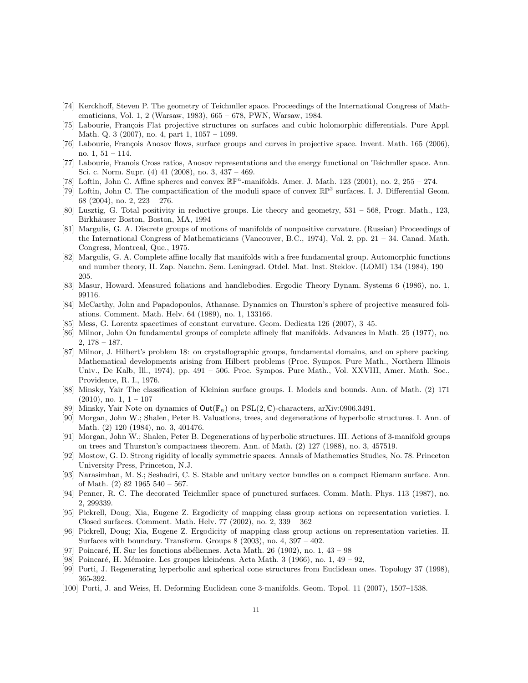- <span id="page-10-10"></span>[74] Kerckhoff, Steven P. The geometry of Teichmller space. Proceedings of the International Congress of Mathematicians, Vol. 1, 2 (Warsaw, 1983), 665 – 678, PWN, Warsaw, 1984.
- <span id="page-10-5"></span>[75] Labourie, François Flat projective structures on surfaces and cubic holomorphic differentials. Pure Appl. Math. Q. 3 (2007), no. 4, part 1, 1057 – 1099.
- [76] Labourie, François Anosov flows, surface groups and curves in projective space. Invent. Math. 165 (2006), no. 1, 51 – 114.
- [77] Labourie, Franois Cross ratios, Anosov representations and the energy functional on Teichmller space. Ann. Sci. c. Norm. Supr. (4) 41 (2008), no. 3, 437 – 469.
- <span id="page-10-9"></span><span id="page-10-8"></span>[78] Loftin, John C. Affine spheres and convex  $\mathbb{RP}^n$ -manifolds. Amer. J. Math. 123 (2001), no. 2, 255 – 274.
- [79] Loftin, John C. The compactification of the moduli space of convex RP<sup>2</sup> surfaces. I. J. Differential Geom. 68 (2004), no. 2, 223 – 276.
- <span id="page-10-6"></span>[80] Lusztig, G. Total positivity in reductive groups. Lie theory and geometry, 531 – 568, Progr. Math., 123, Birkhäuser Boston, Boston, MA, 1994
- [81] Margulis, G. A. Discrete groups of motions of manifolds of nonpositive curvature. (Russian) Proceedings of the International Congress of Mathematicians (Vancouver, B.C., 1974), Vol. 2, pp. 21 – 34. Canad. Math. Congress, Montreal, Que., 1975.
- <span id="page-10-16"></span>[82] Margulis, G. A. Complete affine locally flat manifolds with a free fundamental group. Automorphic functions and number theory, II. Zap. Nauchn. Sem. Leningrad. Otdel. Mat. Inst. Steklov. (LOMI) 134 (1984), 190 – 205.
- <span id="page-10-15"></span><span id="page-10-14"></span>[83] Masur, Howard. Measured foliations and handlebodies. Ergodic Theory Dynam. Systems 6 (1986), no. 1, 99116.
- [84] McCarthy, John and Papadopoulos, Athanase. Dynamics on Thurston's sphere of projective measured foliations. Comment. Math. Helv. 64 (1989), no. 1, 133166.
- <span id="page-10-17"></span>[85] Mess, G. Lorentz spacetimes of constant curvature. Geom. Dedicata 126 (2007), 3–45.
- [86] Milnor, John On fundamental groups of complete affinely flat manifolds. Advances in Math. 25 (1977), no. 2, 178 – 187.
- [87] Milnor, J. Hilbert's problem 18: on crystallographic groups, fundamental domains, and on sphere packing. Mathematical developments arising from Hilbert problems (Proc. Sympos. Pure Math., Northern Illinois Univ., De Kalb, Ill., 1974), pp. 491 – 506. Proc. Sympos. Pure Math., Vol. XXVIII, Amer. Math. Soc., Providence, R. I., 1976.
- <span id="page-10-2"></span>[88] Minsky, Yair The classification of Kleinian surface groups. I. Models and bounds. Ann. of Math. (2) 171  $(2010)$ , no. 1,  $1 - 107$
- <span id="page-10-13"></span><span id="page-10-3"></span>[89] Minsky, Yair Note on dynamics of  $Out(\mathbb{F}_n)$  on  $PSL(2,\mathbb{C})$ -characters, arXiv:0906.3491.
- [90] Morgan, John W.; Shalen, Peter B. Valuations, trees, and degenerations of hyperbolic structures. I. Ann. of Math. (2) 120 (1984), no. 3, 401476.
- <span id="page-10-4"></span>[91] Morgan, John W.; Shalen, Peter B. Degenerations of hyperbolic structures. III. Actions of 3-manifold groups on trees and Thurston's compactness theorem. Ann. of Math. (2) 127 (1988), no. 3, 457519.
- <span id="page-10-0"></span>[92] Mostow, G. D. Strong rigidity of locally symmetric spaces. Annals of Mathematics Studies, No. 78. Princeton University Press, Princeton, N.J.
- <span id="page-10-1"></span>[93] Narasimhan, M. S.; Seshadri, C. S. Stable and unitary vector bundles on a compact Riemann surface. Ann. of Math. (2) 82 1965 540 – 567.
- <span id="page-10-7"></span>[94] Penner, R. C. The decorated Teichmller space of punctured surfaces. Comm. Math. Phys. 113 (1987), no. 2, 299339.
- <span id="page-10-11"></span>[95] Pickrell, Doug; Xia, Eugene Z. Ergodicity of mapping class group actions on representation varieties. I. Closed surfaces. Comment. Math. Helv. 77 (2002), no. 2, 339 – 362
- <span id="page-10-12"></span>[96] Pickrell, Doug; Xia, Eugene Z. Ergodicity of mapping class group actions on representation varieties. II. Surfaces with boundary. Transform. Groups  $8$  (2003), no. 4, 397 – 402.
- [97] Poincaré, H. Sur les fonctions abéliennes. Acta Math. 26 (1902), no. 1,  $43 98$
- <span id="page-10-18"></span>[98] Poincaré, H. Mémoire. Les groupes kleinéens. Acta Math. 3 (1966), no. 1,  $49 - 92$ ,
- <span id="page-10-19"></span>[99] Porti, J. Regenerating hyperbolic and spherical cone structures from Euclidean ones. Topology 37 (1998), 365-392.
- [100] Porti, J. and Weiss, H. Deforming Euclidean cone 3-manifolds. Geom. Topol. 11 (2007), 1507–1538.